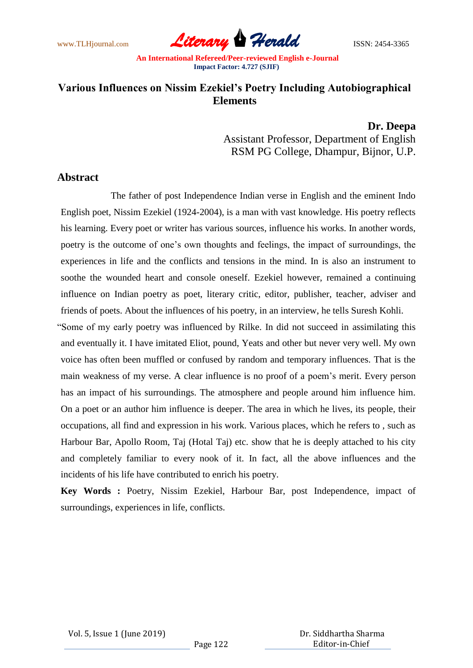www.TLHjournal.com **Literary Herald Herald** ISSN: 2454-3365

# **Various Influences on Nissim Ezekiel's Poetry Including Autobiographical Elements**

**Dr. Deepa** Assistant Professor, Department of English RSM PG College, Dhampur, Bijnor, U.P.

# **Abstract**

The father of post Independence Indian verse in English and the eminent Indo English poet, Nissim Ezekiel (1924-2004), is a man with vast knowledge. His poetry reflects his learning. Every poet or writer has various sources, influence his works. In another words, poetry is the outcome of one's own thoughts and feelings, the impact of surroundings, the experiences in life and the conflicts and tensions in the mind. In is also an instrument to soothe the wounded heart and console oneself. Ezekiel however, remained a continuing influence on Indian poetry as poet, literary critic, editor, publisher, teacher, adviser and friends of poets. About the influences of his poetry, in an interview, he tells Suresh Kohli.

"Some of my early poetry was influenced by Rilke. In did not succeed in assimilating this and eventually it. I have imitated Eliot, pound, Yeats and other but never very well. My own voice has often been muffled or confused by random and temporary influences. That is the main weakness of my verse. A clear influence is no proof of a poem"s merit. Every person has an impact of his surroundings. The atmosphere and people around him influence him. On a poet or an author him influence is deeper. The area in which he lives, its people, their occupations, all find and expression in his work. Various places, which he refers to , such as Harbour Bar, Apollo Room, Taj (Hotal Taj) etc. show that he is deeply attached to his city and completely familiar to every nook of it. In fact, all the above influences and the incidents of his life have contributed to enrich his poetry.

**Key Words :** Poetry, Nissim Ezekiel, Harbour Bar, post Independence, impact of surroundings, experiences in life, conflicts.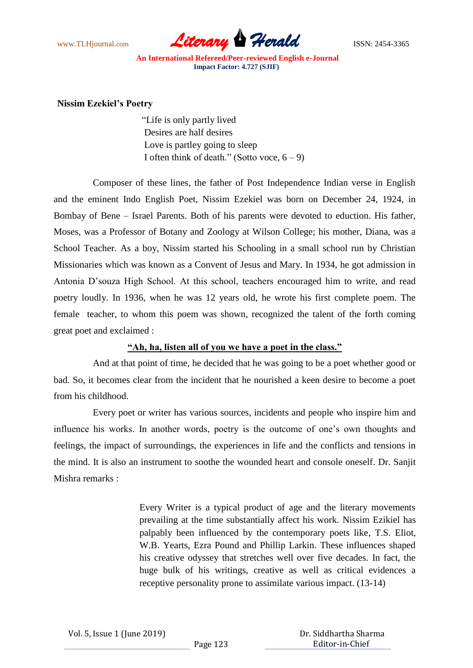

#### **Nissim Ezekiel's Poetry**

"Life is only partly lived Desires are half desires Love is partley going to sleep I often think of death." (Sotto voce,  $6 - 9$ )

Composer of these lines, the father of Post Independence Indian verse in English and the eminent Indo English Poet, Nissim Ezekiel was born on December 24, 1924, in Bombay of Bene – Israel Parents. Both of his parents were devoted to eduction. His father, Moses, was a Professor of Botany and Zoology at Wilson College; his mother, Diana, was a School Teacher. As a boy, Nissim started his Schooling in a small school run by Christian Missionaries which was known as a Convent of Jesus and Mary. In 1934, he got admission in Antonia D"souza High School. At this school, teachers encouraged him to write, and read poetry loudly. In 1936, when he was 12 years old, he wrote his first complete poem. The female teacher, to whom this poem was shown, recognized the talent of the forth coming great poet and exclaimed :

#### **"Ah, ha, listen all of you we have a poet in the class."**

And at that point of time, he decided that he was going to be a poet whether good or bad. So, it becomes clear from the incident that he nourished a keen desire to become a poet from his childhood.

Every poet or writer has various sources, incidents and people who inspire him and influence his works. In another words, poetry is the outcome of one"s own thoughts and feelings, the impact of surroundings, the experiences in life and the conflicts and tensions in the mind. It is also an instrument to soothe the wounded heart and console oneself. Dr. Sanjit Mishra remarks :

> Every Writer is a typical product of age and the literary movements prevailing at the time substantially affect his work. Nissim Ezikiel has palpably been influenced by the contemporary poets like, T.S. Eliot, W.B. Yearts, Ezra Pound and Phillip Larkin. These influences shaped his creative odyssey that stretches well over five decades. In fact, the huge bulk of his writings, creative as well as critical evidences a receptive personality prone to assimilate various impact. (13-14)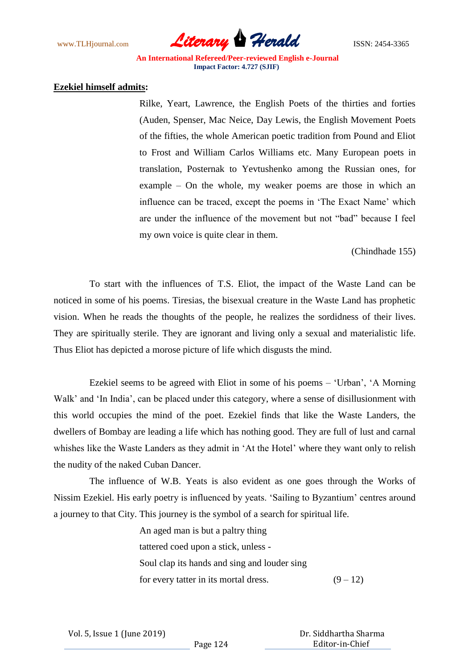

#### **Ezekiel himself admits:**

Rilke, Yeart, Lawrence, the English Poets of the thirties and forties (Auden, Spenser, Mac Neice, Day Lewis, the English Movement Poets of the fifties, the whole American poetic tradition from Pound and Eliot to Frost and William Carlos Williams etc. Many European poets in translation, Posternak to Yevtushenko among the Russian ones, for example – On the whole, my weaker poems are those in which an influence can be traced, except the poems in "The Exact Name" which are under the influence of the movement but not "bad" because I feel my own voice is quite clear in them.

(Chindhade 155)

To start with the influences of T.S. Eliot, the impact of the Waste Land can be noticed in some of his poems. Tiresias, the bisexual creature in the Waste Land has prophetic vision. When he reads the thoughts of the people, he realizes the sordidness of their lives. They are spiritually sterile. They are ignorant and living only a sexual and materialistic life. Thus Eliot has depicted a morose picture of life which disgusts the mind.

Ezekiel seems to be agreed with Eliot in some of his poems – "Urban", "A Morning Walk' and 'In India', can be placed under this category, where a sense of disillusionment with this world occupies the mind of the poet. Ezekiel finds that like the Waste Landers, the dwellers of Bombay are leading a life which has nothing good. They are full of lust and carnal whishes like the Waste Landers as they admit in 'At the Hotel' where they want only to relish the nudity of the naked Cuban Dancer.

The influence of W.B. Yeats is also evident as one goes through the Works of Nissim Ezekiel. His early poetry is influenced by yeats. "Sailing to Byzantium" centres around a journey to that City. This journey is the symbol of a search for spiritual life.

> An aged man is but a paltry thing tattered coed upon a stick, unless - Soul clap its hands and sing and louder sing for every tatter in its mortal dress.  $(9-12)$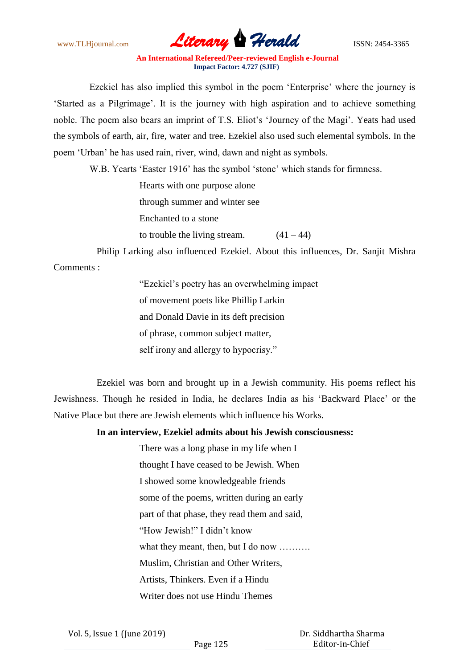

Ezekiel has also implied this symbol in the poem "Enterprise" where the journey is "Started as a Pilgrimage". It is the journey with high aspiration and to achieve something noble. The poem also bears an imprint of T.S. Eliot's 'Journey of the Magi'. Yeats had used the symbols of earth, air, fire, water and tree. Ezekiel also used such elemental symbols. In the poem "Urban" he has used rain, river, wind, dawn and night as symbols.

W.B. Yearts 'Easter 1916' has the symbol 'stone' which stands for firmness.

| Hearts with one purpose alone |             |
|-------------------------------|-------------|
| through summer and winter see |             |
| Enchanted to a stone          |             |
| to trouble the living stream. | $(41 - 44)$ |

Philip Larking also influenced Ezekiel. About this influences, Dr. Sanjit Mishra Comments :

> "Ezekiel"s poetry has an overwhelming impact of movement poets like Phillip Larkin and Donald Davie in its deft precision of phrase, common subject matter, self irony and allergy to hypocrisy."

Ezekiel was born and brought up in a Jewish community. His poems reflect his Jewishness. Though he resided in India, he declares India as his "Backward Place" or the Native Place but there are Jewish elements which influence his Works.

## **In an interview, Ezekiel admits about his Jewish consciousness:**

There was a long phase in my life when I thought I have ceased to be Jewish. When I showed some knowledgeable friends some of the poems, written during an early part of that phase, they read them and said, "How Jewish!" I didn"t know what they meant, then, but I do now ......... Muslim, Christian and Other Writers, Artists, Thinkers. Even if a Hindu Writer does not use Hindu Themes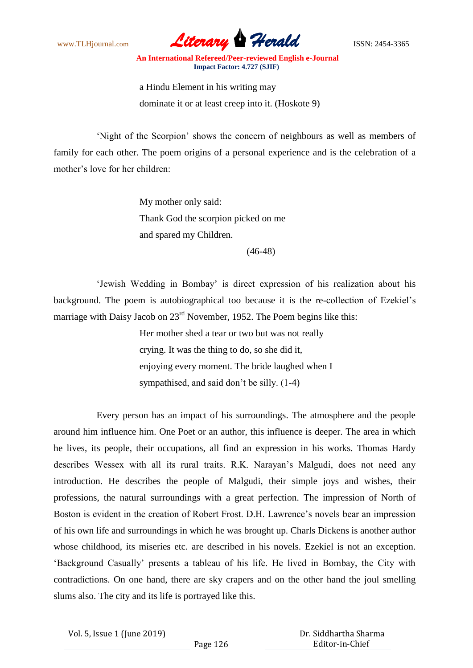

a Hindu Element in his writing may dominate it or at least creep into it. (Hoskote 9)

"Night of the Scorpion" shows the concern of neighbours as well as members of family for each other. The poem origins of a personal experience and is the celebration of a mother"s love for her children:

> My mother only said: Thank God the scorpion picked on me and spared my Children.

> > (46-48)

"Jewish Wedding in Bombay" is direct expression of his realization about his background. The poem is autobiographical too because it is the re-collection of Ezekiel"s marriage with Daisy Jacob on 23<sup>rd</sup> November, 1952. The Poem begins like this:

> Her mother shed a tear or two but was not really crying. It was the thing to do, so she did it, enjoying every moment. The bride laughed when I sympathised, and said don"t be silly. (1-4)

Every person has an impact of his surroundings. The atmosphere and the people around him influence him. One Poet or an author, this influence is deeper. The area in which he lives, its people, their occupations, all find an expression in his works. Thomas Hardy describes Wessex with all its rural traits. R.K. Narayan"s Malgudi, does not need any introduction. He describes the people of Malgudi, their simple joys and wishes, their professions, the natural surroundings with a great perfection. The impression of North of Boston is evident in the creation of Robert Frost. D.H. Lawrence"s novels bear an impression of his own life and surroundings in which he was brought up. Charls Dickens is another author whose childhood, its miseries etc. are described in his novels. Ezekiel is not an exception. "Background Casually" presents a tableau of his life. He lived in Bombay, the City with contradictions. On one hand, there are sky crapers and on the other hand the joul smelling slums also. The city and its life is portrayed like this.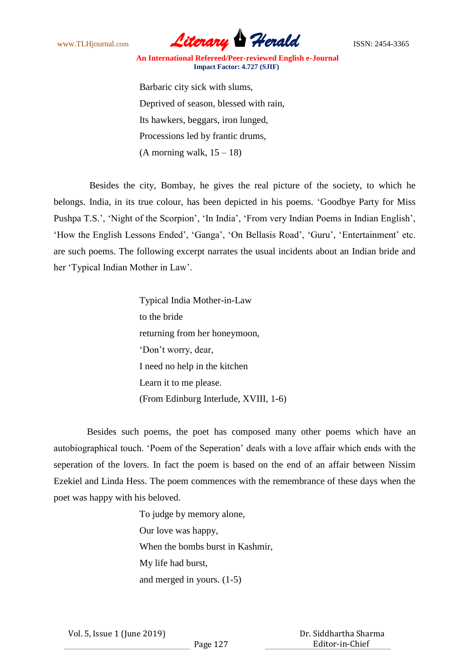

Barbaric city sick with slums, Deprived of season, blessed with rain, Its hawkers, beggars, iron lunged, Processions led by frantic drums,  $(A$  morning walk,  $15 - 18$ )

 Besides the city, Bombay, he gives the real picture of the society, to which he belongs. India, in its true colour, has been depicted in his poems. "Goodbye Party for Miss Pushpa T.S.', 'Night of the Scorpion', 'In India', 'From very Indian Poems in Indian English', 'How the English Lessons Ended', 'Ganga', 'On Bellasis Road', 'Guru', 'Entertainment' etc. are such poems. The following excerpt narrates the usual incidents about an Indian bride and her "Typical Indian Mother in Law".

> Typical India Mother-in-Law to the bride returning from her honeymoon, "Don"t worry, dear, I need no help in the kitchen Learn it to me please. (From Edinburg Interlude, XVIII, 1-6)

 Besides such poems, the poet has composed many other poems which have an autobiographical touch. "Poem of the Seperation" deals with a love affair which ends with the seperation of the lovers. In fact the poem is based on the end of an affair between Nissim Ezekiel and Linda Hess. The poem commences with the remembrance of these days when the poet was happy with his beloved.

> To judge by memory alone, Our love was happy, When the bombs burst in Kashmir, My life had burst, and merged in yours. (1-5)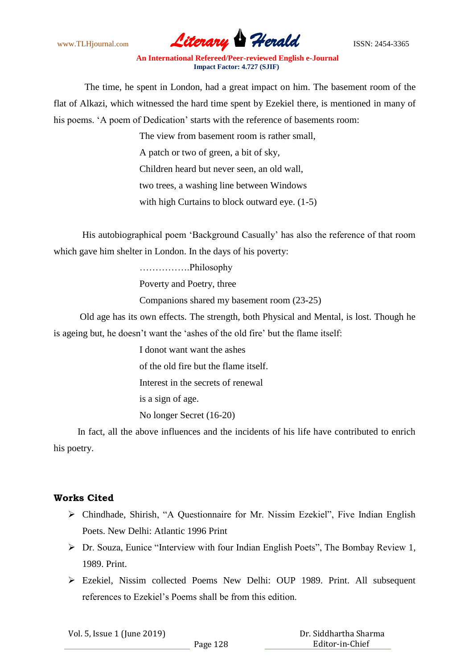

 The time, he spent in London, had a great impact on him. The basement room of the flat of Alkazi, which witnessed the hard time spent by Ezekiel there, is mentioned in many of his poems. "A poem of Dedication" starts with the reference of basements room:

> The view from basement room is rather small, A patch or two of green, a bit of sky, Children heard but never seen, an old wall, two trees, a washing line between Windows with high Curtains to block outward eye. (1-5)

 His autobiographical poem "Background Casually" has also the reference of that room which gave him shelter in London. In the days of his poverty:

…………….Philosophy

Poverty and Poetry, three

Companions shared my basement room (23-25)

 Old age has its own effects. The strength, both Physical and Mental, is lost. Though he is ageing but, he doesn't want the 'ashes of the old fire' but the flame itself:

I donot want want the ashes

of the old fire but the flame itself.

Interest in the secrets of renewal

is a sign of age.

No longer Secret (16-20)

 In fact, all the above influences and the incidents of his life have contributed to enrich his poetry.

## **Works Cited**

- Chindhade, Shirish, "A Questionnaire for Mr. Nissim Ezekiel", Five Indian English Poets. New Delhi: Atlantic 1996 Print
- Dr. Souza, Eunice "Interview with four Indian English Poets", The Bombay Review 1, 1989. Print.
- Ezekiel, Nissim collected Poems New Delhi: OUP 1989. Print. All subsequent references to Ezekiel"s Poems shall be from this edition.

| Vol. 5, Issue 1 (June 2019) |          | Dr. Siddhartha Sharma |
|-----------------------------|----------|-----------------------|
|                             | Page 128 | Editor-in-Chief       |